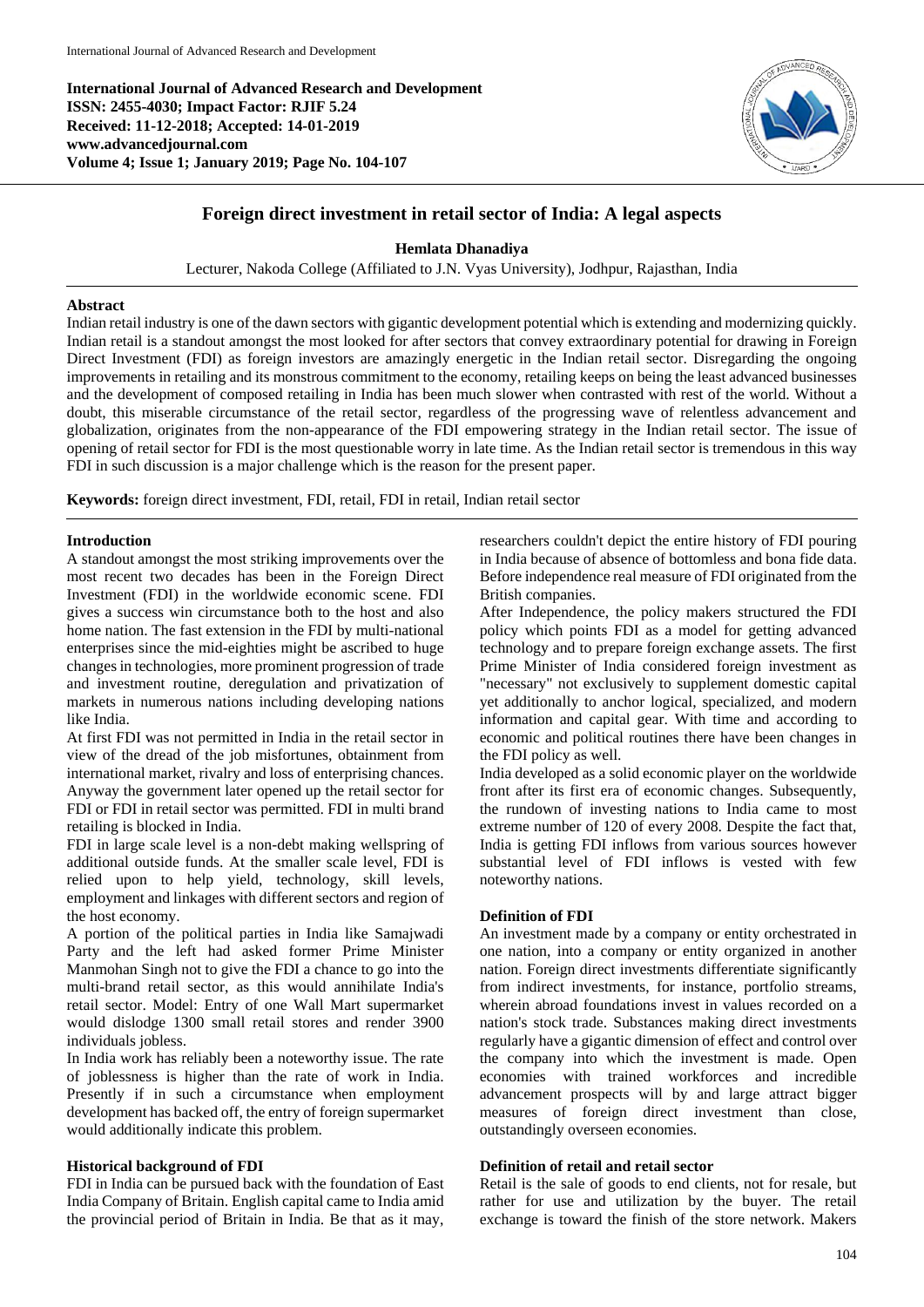**International Journal of Advanced Research and Development ISSN: 2455-4030; Impact Factor: RJIF 5.24 Received: 11-12-2018; Accepted: 14-01-2019 www.advancedjournal.com Volume 4; Issue 1; January 2019; Page No. 104-107**



# **Foreign direct investment in retail sector of India: A legal aspects**

# **Hemlata Dhanadiya**

Lecturer, Nakoda College (Affiliated to J.N. Vyas University), Jodhpur, Rajasthan, India

### **Abstract**

Indian retail industry is one of the dawn sectors with gigantic development potential which is extending and modernizing quickly. Indian retail is a standout amongst the most looked for after sectors that convey extraordinary potential for drawing in Foreign Direct Investment (FDI) as foreign investors are amazingly energetic in the Indian retail sector. Disregarding the ongoing improvements in retailing and its monstrous commitment to the economy, retailing keeps on being the least advanced businesses and the development of composed retailing in India has been much slower when contrasted with rest of the world. Without a doubt, this miserable circumstance of the retail sector, regardless of the progressing wave of relentless advancement and globalization, originates from the non-appearance of the FDI empowering strategy in the Indian retail sector. The issue of opening of retail sector for FDI is the most questionable worry in late time. As the Indian retail sector is tremendous in this way FDI in such discussion is a major challenge which is the reason for the present paper.

**Keywords:** foreign direct investment, FDI, retail, FDI in retail, Indian retail sector

## **Introduction**

A standout amongst the most striking improvements over the most recent two decades has been in the Foreign Direct Investment (FDI) in the worldwide economic scene. FDI gives a success win circumstance both to the host and also home nation. The fast extension in the FDI by multi-national enterprises since the mid-eighties might be ascribed to huge changes in technologies, more prominent progression of trade and investment routine, deregulation and privatization of markets in numerous nations including developing nations like India.

At first FDI was not permitted in India in the retail sector in view of the dread of the job misfortunes, obtainment from international market, rivalry and loss of enterprising chances. Anyway the government later opened up the retail sector for FDI or FDI in retail sector was permitted. FDI in multi brand retailing is blocked in India.

FDI in large scale level is a non-debt making wellspring of additional outside funds. At the smaller scale level, FDI is relied upon to help yield, technology, skill levels, employment and linkages with different sectors and region of the host economy.

A portion of the political parties in India like Samajwadi Party and the left had asked former Prime Minister Manmohan Singh not to give the FDI a chance to go into the multi-brand retail sector, as this would annihilate India's retail sector. Model: Entry of one Wall Mart supermarket would dislodge 1300 small retail stores and render 3900 individuals jobless.

In India work has reliably been a noteworthy issue. The rate of joblessness is higher than the rate of work in India. Presently if in such a circumstance when employment development has backed off, the entry of foreign supermarket would additionally indicate this problem.

### **Historical background of FDI**

FDI in India can be pursued back with the foundation of East India Company of Britain. English capital came to India amid the provincial period of Britain in India. Be that as it may, researchers couldn't depict the entire history of FDI pouring in India because of absence of bottomless and bona fide data. Before independence real measure of FDI originated from the British companies.

After Independence, the policy makers structured the FDI policy which points FDI as a model for getting advanced technology and to prepare foreign exchange assets. The first Prime Minister of India considered foreign investment as "necessary" not exclusively to supplement domestic capital yet additionally to anchor logical, specialized, and modern information and capital gear. With time and according to economic and political routines there have been changes in the FDI policy as well.

India developed as a solid economic player on the worldwide front after its first era of economic changes. Subsequently, the rundown of investing nations to India came to most extreme number of 120 of every 2008. Despite the fact that, India is getting FDI inflows from various sources however substantial level of FDI inflows is vested with few noteworthy nations.

### **Definition of FDI**

An investment made by a company or entity orchestrated in one nation, into a company or entity organized in another nation. Foreign direct investments differentiate significantly from indirect investments, for instance, portfolio streams, wherein abroad foundations invest in values recorded on a nation's stock trade. Substances making direct investments regularly have a gigantic dimension of effect and control over the company into which the investment is made. Open economies with trained workforces and incredible advancement prospects will by and large attract bigger measures of foreign direct investment than close, outstandingly overseen economies.

### **Definition of retail and retail sector**

Retail is the sale of goods to end clients, not for resale, but rather for use and utilization by the buyer. The retail exchange is toward the finish of the store network. Makers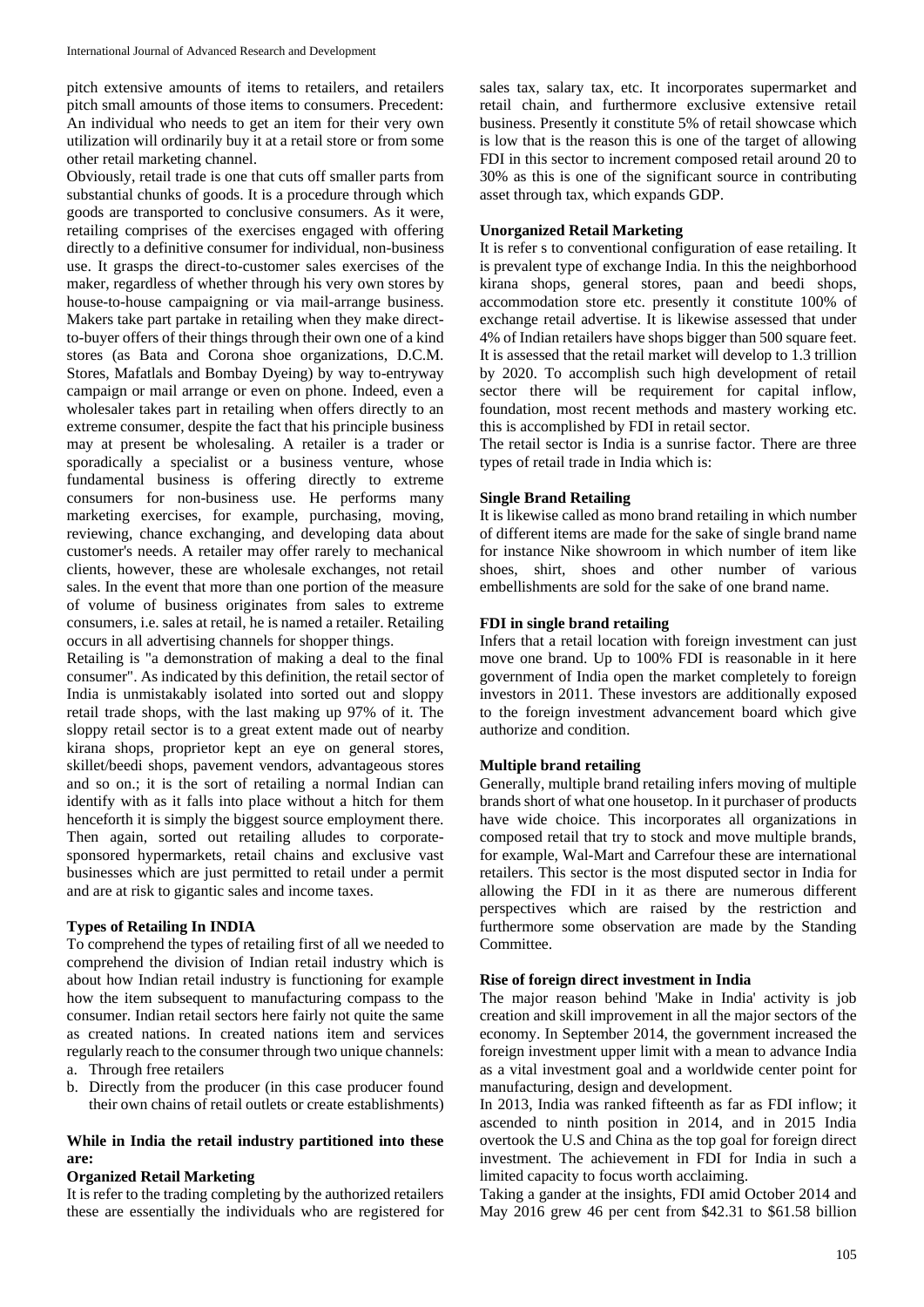pitch extensive amounts of items to retailers, and retailers pitch small amounts of those items to consumers. Precedent: An individual who needs to get an item for their very own utilization will ordinarily buy it at a retail store or from some other retail marketing channel.

Obviously, retail trade is one that cuts off smaller parts from substantial chunks of goods. It is a procedure through which goods are transported to conclusive consumers. As it were, retailing comprises of the exercises engaged with offering directly to a definitive consumer for individual, non-business use. It grasps the direct-to-customer sales exercises of the maker, regardless of whether through his very own stores by house-to-house campaigning or via mail-arrange business. Makers take part partake in retailing when they make directto-buyer offers of their things through their own one of a kind stores (as Bata and Corona shoe organizations, D.C.M. Stores, Mafatlals and Bombay Dyeing) by way to-entryway campaign or mail arrange or even on phone. Indeed, even a wholesaler takes part in retailing when offers directly to an extreme consumer, despite the fact that his principle business may at present be wholesaling. A retailer is a trader or sporadically a specialist or a business venture, whose fundamental business is offering directly to extreme consumers for non-business use. He performs many marketing exercises, for example, purchasing, moving, reviewing, chance exchanging, and developing data about customer's needs. A retailer may offer rarely to mechanical clients, however, these are wholesale exchanges, not retail sales. In the event that more than one portion of the measure of volume of business originates from sales to extreme consumers, i.e. sales at retail, he is named a retailer. Retailing occurs in all advertising channels for shopper things.

Retailing is "a demonstration of making a deal to the final consumer". As indicated by this definition, the retail sector of India is unmistakably isolated into sorted out and sloppy retail trade shops, with the last making up 97% of it. The sloppy retail sector is to a great extent made out of nearby kirana shops, proprietor kept an eye on general stores, skillet/beedi shops, pavement vendors, advantageous stores and so on.; it is the sort of retailing a normal Indian can identify with as it falls into place without a hitch for them henceforth it is simply the biggest source employment there. Then again, sorted out retailing alludes to corporatesponsored hypermarkets, retail chains and exclusive vast businesses which are just permitted to retail under a permit and are at risk to gigantic sales and income taxes.

# **Types of Retailing In INDIA**

To comprehend the types of retailing first of all we needed to comprehend the division of Indian retail industry which is about how Indian retail industry is functioning for example how the item subsequent to manufacturing compass to the consumer. Indian retail sectors here fairly not quite the same as created nations. In created nations item and services regularly reach to the consumer through two unique channels: a. Through free retailers

- 
- b. Directly from the producer (in this case producer found their own chains of retail outlets or create establishments)

# **While in India the retail industry partitioned into these are:**

### **Organized Retail Marketing**

It is refer to the trading completing by the authorized retailers these are essentially the individuals who are registered for

sales tax, salary tax, etc. It incorporates supermarket and retail chain, and furthermore exclusive extensive retail business. Presently it constitute 5% of retail showcase which is low that is the reason this is one of the target of allowing FDI in this sector to increment composed retail around 20 to 30% as this is one of the significant source in contributing asset through tax, which expands GDP.

## **Unorganized Retail Marketing**

It is refer s to conventional configuration of ease retailing. It is prevalent type of exchange India. In this the neighborhood kirana shops, general stores, paan and beedi shops, accommodation store etc. presently it constitute 100% of exchange retail advertise. It is likewise assessed that under 4% of Indian retailers have shops bigger than 500 square feet. It is assessed that the retail market will develop to 1.3 trillion by 2020. To accomplish such high development of retail sector there will be requirement for capital inflow, foundation, most recent methods and mastery working etc. this is accomplished by FDI in retail sector.

The retail sector is India is a sunrise factor. There are three types of retail trade in India which is:

## **Single Brand Retailing**

It is likewise called as mono brand retailing in which number of different items are made for the sake of single brand name for instance Nike showroom in which number of item like shoes, shirt, shoes and other number of various embellishments are sold for the sake of one brand name.

## **FDI in single brand retailing**

Infers that a retail location with foreign investment can just move one brand. Up to 100% FDI is reasonable in it here government of India open the market completely to foreign investors in 2011. These investors are additionally exposed to the foreign investment advancement board which give authorize and condition.

# **Multiple brand retailing**

Generally, multiple brand retailing infers moving of multiple brands short of what one housetop. In it purchaser of products have wide choice. This incorporates all organizations in composed retail that try to stock and move multiple brands, for example, Wal-Mart and Carrefour these are international retailers. This sector is the most disputed sector in India for allowing the FDI in it as there are numerous different perspectives which are raised by the restriction and furthermore some observation are made by the Standing Committee.

### **Rise of foreign direct investment in India**

The major reason behind 'Make in India' activity is job creation and skill improvement in all the major sectors of the economy. In September 2014, the government increased the foreign investment upper limit with a mean to advance India as a vital investment goal and a worldwide center point for manufacturing, design and development.

In 2013, India was ranked fifteenth as far as FDI inflow; it ascended to ninth position in 2014, and in 2015 India overtook the U.S and China as the top goal for foreign direct investment. The achievement in FDI for India in such a limited capacity to focus worth acclaiming.

Taking a gander at the insights, FDI amid October 2014 and May 2016 grew 46 per cent from \$42.31 to \$61.58 billion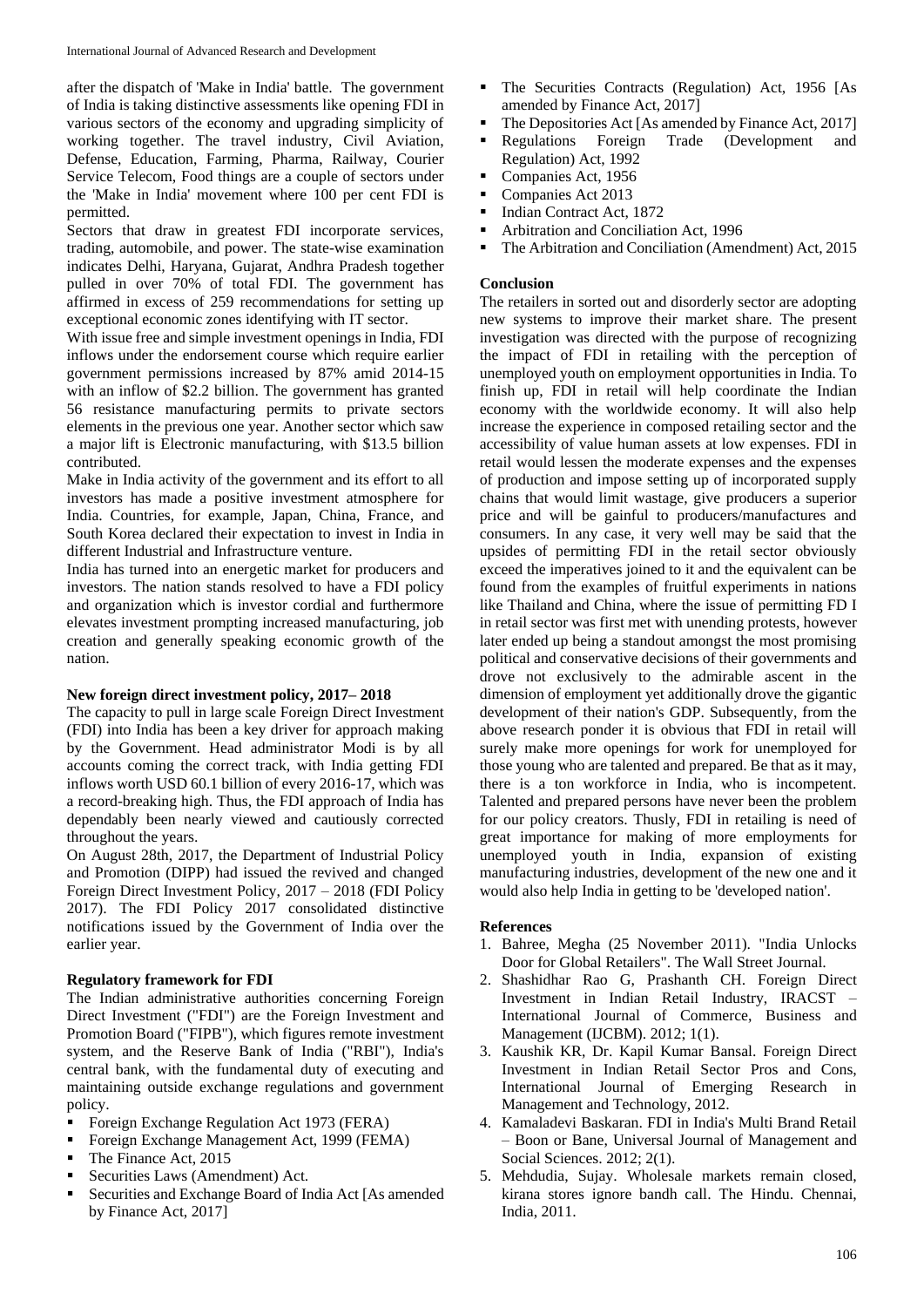after the dispatch of 'Make in India' battle. The government of India is taking distinctive assessments like opening FDI in various sectors of the economy and upgrading simplicity of working together. The travel industry, Civil Aviation, Defense, Education, Farming, Pharma, Railway, Courier Service Telecom, Food things are a couple of sectors under the 'Make in India' movement where 100 per cent FDI is permitted.

Sectors that draw in greatest FDI incorporate services, trading, automobile, and power. The state-wise examination indicates Delhi, Haryana, Gujarat, Andhra Pradesh together pulled in over 70% of total FDI. The government has affirmed in excess of 259 recommendations for setting up exceptional economic zones identifying with IT sector.

With issue free and simple investment openings in India, FDI inflows under the endorsement course which require earlier government permissions increased by 87% amid 2014-15 with an inflow of \$2.2 billion. The government has granted 56 resistance manufacturing permits to private sectors elements in the previous one year. Another sector which saw a major lift is Electronic manufacturing, with \$13.5 billion contributed.

Make in India activity of the government and its effort to all investors has made a positive investment atmosphere for India. Countries, for example, Japan, China, France, and South Korea declared their expectation to invest in India in different Industrial and Infrastructure venture.

India has turned into an energetic market for producers and investors. The nation stands resolved to have a FDI policy and organization which is investor cordial and furthermore elevates investment prompting increased manufacturing, job creation and generally speaking economic growth of the nation.

# **New foreign direct investment policy, 2017– 2018**

The capacity to pull in large scale Foreign Direct Investment (FDI) into India has been a key driver for approach making by the Government. Head administrator Modi is by all accounts coming the correct track, with India getting FDI inflows worth USD 60.1 billion of every 2016-17, which was a record-breaking high. Thus, the FDI approach of India has dependably been nearly viewed and cautiously corrected throughout the years.

On August 28th, 2017, the Department of Industrial Policy and Promotion (DIPP) had issued the revived and changed Foreign Direct Investment Policy, 2017 – 2018 (FDI Policy 2017). The FDI Policy 2017 consolidated distinctive notifications issued by the Government of India over the earlier year.

# **Regulatory framework for FDI**

The Indian administrative authorities concerning Foreign Direct Investment ("FDI") are the Foreign Investment and Promotion Board ("FIPB"), which figures remote investment system, and the Reserve Bank of India ("RBI"), India's central bank, with the fundamental duty of executing and maintaining outside exchange regulations and government policy.

- Foreign Exchange Regulation Act 1973 (FERA)
- Foreign Exchange Management Act, 1999 (FEMA)
- The Finance Act, 2015
- Securities Laws (Amendment) Act.
- Securities and Exchange Board of India Act [As amended by Finance Act, 2017]
- The Securities Contracts (Regulation) Act, 1956 [As amended by Finance Act, 2017]
- The Depositories Act [As amended by Finance Act, 2017]
- **Regulations Foreign Trade (Development and** Regulation) Act, 1992
- Companies Act, 1956
- Companies Act 2013
- Indian Contract Act, 1872
- **Arbitration and Conciliation Act, 1996**
- The Arbitration and Conciliation (Amendment) Act, 2015

## **Conclusion**

The retailers in sorted out and disorderly sector are adopting new systems to improve their market share. The present investigation was directed with the purpose of recognizing the impact of FDI in retailing with the perception of unemployed youth on employment opportunities in India. To finish up, FDI in retail will help coordinate the Indian economy with the worldwide economy. It will also help increase the experience in composed retailing sector and the accessibility of value human assets at low expenses. FDI in retail would lessen the moderate expenses and the expenses of production and impose setting up of incorporated supply chains that would limit wastage, give producers a superior price and will be gainful to producers/manufactures and consumers. In any case, it very well may be said that the upsides of permitting FDI in the retail sector obviously exceed the imperatives joined to it and the equivalent can be found from the examples of fruitful experiments in nations like Thailand and China, where the issue of permitting FD I in retail sector was first met with unending protests, however later ended up being a standout amongst the most promising political and conservative decisions of their governments and drove not exclusively to the admirable ascent in the dimension of employment yet additionally drove the gigantic development of their nation's GDP. Subsequently, from the above research ponder it is obvious that FDI in retail will surely make more openings for work for unemployed for those young who are talented and prepared. Be that as it may, there is a ton workforce in India, who is incompetent. Talented and prepared persons have never been the problem for our policy creators. Thusly, FDI in retailing is need of great importance for making of more employments for unemployed youth in India, expansion of existing manufacturing industries, development of the new one and it would also help India in getting to be 'developed nation'.

### **References**

- 1. Bahree, Megha (25 November 2011). "India Unlocks Door for Global Retailers". The Wall Street Journal.
- 2. Shashidhar Rao G, Prashanth CH. Foreign Direct Investment in Indian Retail Industry, IRACST – International Journal of Commerce, Business and Management (IJCBM). 2012; 1(1).
- 3. Kaushik KR, Dr. Kapil Kumar Bansal. Foreign Direct Investment in Indian Retail Sector Pros and Cons, International Journal of Emerging Research in Management and Technology, 2012.
- 4. Kamaladevi Baskaran. FDI in India's Multi Brand Retail – Boon or Bane, Universal Journal of Management and Social Sciences. 2012; 2(1).
- 5. Mehdudia, Sujay. Wholesale markets remain closed, kirana stores ignore bandh call. The Hindu. Chennai, India, 2011.